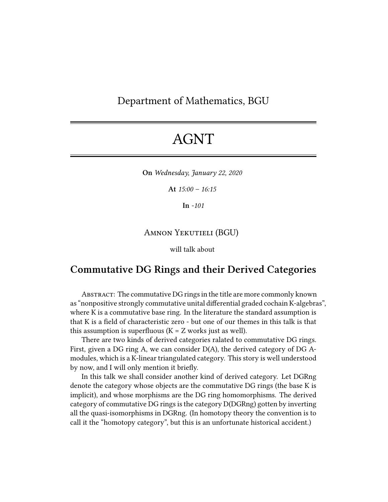## Department of Mathematics, BGU

## AGNT

**On** *Wednesday, January 22, 2020*

**At** *15:00 – 16:15*

**In** *-101*

## Amnon Yekutieli (BGU)

will talk about

## **Commutative DG Rings and their Derived Categories**

ABSTRACT: The commutative DG rings in the title are more commonly known as "nonpositive strongly commutative unital differential graded cochain K-algebras", where K is a commutative base ring. In the literature the standard assumption is that K is a field of characteristic zero - but one of our themes in this talk is that this assumption is superfluous  $(K = Z$  works just as well).

There are two kinds of derived categories ralated to commutative DG rings. First, given a DG ring A, we can consider D(A), the derived category of DG Amodules, which is a K-linear triangulated category. This story is well understood by now, and I will only mention it briefly.

In this talk we shall consider another kind of derived category. Let DGRng denote the category whose objects are the commutative DG rings (the base K is implicit), and whose morphisms are the DG ring homomorphisms. The derived category of commutative DG rings is the category D(DGRng) gotten by inverting all the quasi-isomorphisms in DGRng. (In homotopy theory the convention is to call it the "homotopy category", but this is an unfortunate historical accident.)